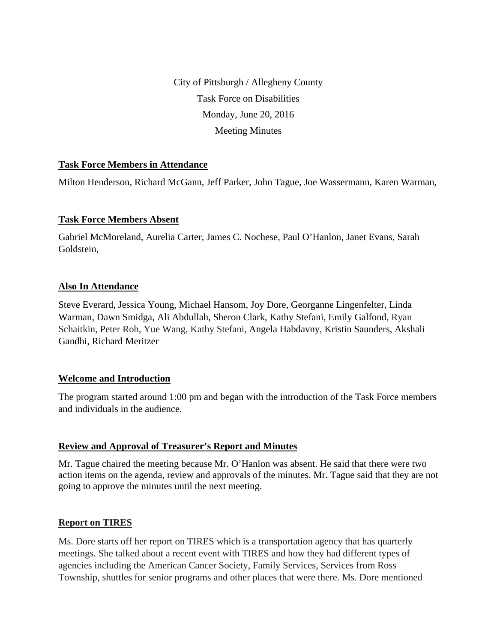City of Pittsburgh / Allegheny County Task Force on Disabilities Monday, June 20, 2016 Meeting Minutes

# **Task Force Members in Attendance**

Milton Henderson, Richard McGann, Jeff Parker, John Tague, Joe Wassermann, Karen Warman,

### **Task Force Members Absent**

Gabriel McMoreland, Aurelia Carter, James C. Nochese, Paul O'Hanlon, Janet Evans, Sarah Goldstein,

### **Also In Attendance**

Steve Everard, Jessica Young, Michael Hansom, Joy Dore, Georganne Lingenfelter, Linda Warman, Dawn Smidga, Ali Abdullah, Sheron Clark, Kathy Stefani, Emily Galfond, Ryan Schaitkin, Peter Roh, Yue Wang, Kathy Stefani, Angela Habdavny, Kristin Saunders, Akshali Gandhi, Richard Meritzer

### **Welcome and Introduction**

The program started around 1:00 pm and began with the introduction of the Task Force members and individuals in the audience.

# **Review and Approval of Treasurer's Report and Minutes**

Mr. Tague chaired the meeting because Mr. O'Hanlon was absent. He said that there were two action items on the agenda, review and approvals of the minutes. Mr. Tague said that they are not going to approve the minutes until the next meeting.

### **Report on TIRES**

Ms. Dore starts off her report on TIRES which is a transportation agency that has quarterly meetings. She talked about a recent event with TIRES and how they had different types of agencies including the American Cancer Society, Family Services, Services from Ross Township, shuttles for senior programs and other places that were there. Ms. Dore mentioned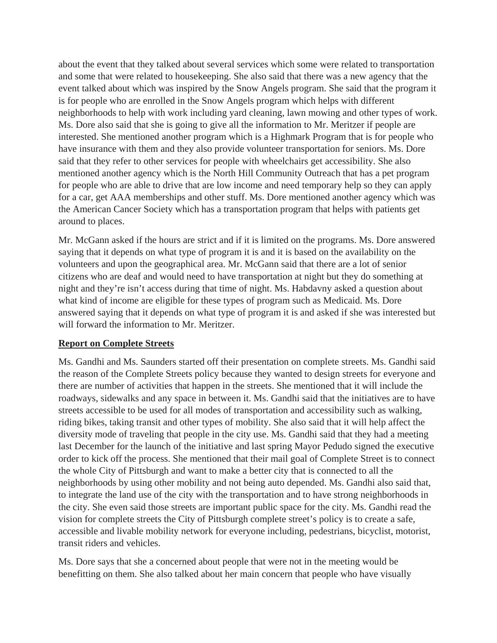about the event that they talked about several services which some were related to transportation and some that were related to housekeeping. She also said that there was a new agency that the event talked about which was inspired by the Snow Angels program. She said that the program it is for people who are enrolled in the Snow Angels program which helps with different neighborhoods to help with work including yard cleaning, lawn mowing and other types of work. Ms. Dore also said that she is going to give all the information to Mr. Meritzer if people are interested. She mentioned another program which is a Highmark Program that is for people who have insurance with them and they also provide volunteer transportation for seniors. Ms. Dore said that they refer to other services for people with wheelchairs get accessibility. She also mentioned another agency which is the North Hill Community Outreach that has a pet program for people who are able to drive that are low income and need temporary help so they can apply for a car, get AAA memberships and other stuff. Ms. Dore mentioned another agency which was the American Cancer Society which has a transportation program that helps with patients get around to places.

Mr. McGann asked if the hours are strict and if it is limited on the programs. Ms. Dore answered saying that it depends on what type of program it is and it is based on the availability on the volunteers and upon the geographical area. Mr. McGann said that there are a lot of senior citizens who are deaf and would need to have transportation at night but they do something at night and they're isn't access during that time of night. Ms. Habdavny asked a question about what kind of income are eligible for these types of program such as Medicaid. Ms. Dore answered saying that it depends on what type of program it is and asked if she was interested but will forward the information to Mr. Meritzer.

# **Report on Complete Streets**

Ms. Gandhi and Ms. Saunders started off their presentation on complete streets. Ms. Gandhi said the reason of the Complete Streets policy because they wanted to design streets for everyone and there are number of activities that happen in the streets. She mentioned that it will include the roadways, sidewalks and any space in between it. Ms. Gandhi said that the initiatives are to have streets accessible to be used for all modes of transportation and accessibility such as walking, riding bikes, taking transit and other types of mobility. She also said that it will help affect the diversity mode of traveling that people in the city use. Ms. Gandhi said that they had a meeting last December for the launch of the initiative and last spring Mayor Pedudo signed the executive order to kick off the process. She mentioned that their mail goal of Complete Street is to connect the whole City of Pittsburgh and want to make a better city that is connected to all the neighborhoods by using other mobility and not being auto depended. Ms. Gandhi also said that, to integrate the land use of the city with the transportation and to have strong neighborhoods in the city. She even said those streets are important public space for the city. Ms. Gandhi read the vision for complete streets the City of Pittsburgh complete street's policy is to create a safe, accessible and livable mobility network for everyone including, pedestrians, bicyclist, motorist, transit riders and vehicles.

Ms. Dore says that she a concerned about people that were not in the meeting would be benefitting on them. She also talked about her main concern that people who have visually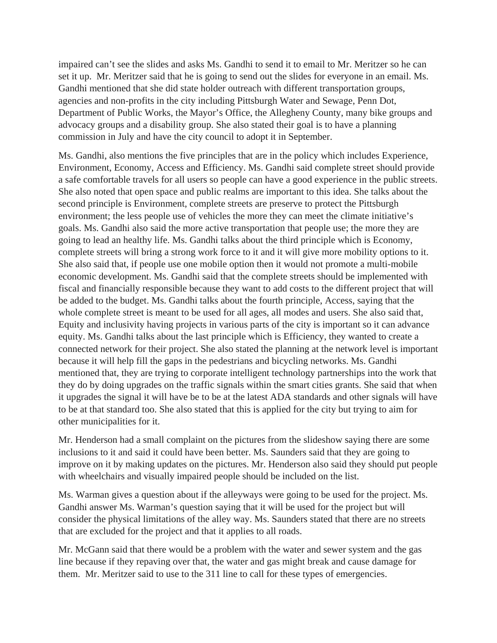impaired can't see the slides and asks Ms. Gandhi to send it to email to Mr. Meritzer so he can set it up. Mr. Meritzer said that he is going to send out the slides for everyone in an email. Ms. Gandhi mentioned that she did state holder outreach with different transportation groups, agencies and non-profits in the city including Pittsburgh Water and Sewage, Penn Dot, Department of Public Works, the Mayor's Office, the Allegheny County, many bike groups and advocacy groups and a disability group. She also stated their goal is to have a planning commission in July and have the city council to adopt it in September.

Ms. Gandhi, also mentions the five principles that are in the policy which includes Experience, Environment, Economy, Access and Efficiency. Ms. Gandhi said complete street should provide a safe comfortable travels for all users so people can have a good experience in the public streets. She also noted that open space and public realms are important to this idea. She talks about the second principle is Environment, complete streets are preserve to protect the Pittsburgh environment; the less people use of vehicles the more they can meet the climate initiative's goals. Ms. Gandhi also said the more active transportation that people use; the more they are going to lead an healthy life. Ms. Gandhi talks about the third principle which is Economy, complete streets will bring a strong work force to it and it will give more mobility options to it. She also said that, if people use one mobile option then it would not promote a multi-mobile economic development. Ms. Gandhi said that the complete streets should be implemented with fiscal and financially responsible because they want to add costs to the different project that will be added to the budget. Ms. Gandhi talks about the fourth principle, Access, saying that the whole complete street is meant to be used for all ages, all modes and users. She also said that, Equity and inclusivity having projects in various parts of the city is important so it can advance equity. Ms. Gandhi talks about the last principle which is Efficiency, they wanted to create a connected network for their project. She also stated the planning at the network level is important because it will help fill the gaps in the pedestrians and bicycling networks. Ms. Gandhi mentioned that, they are trying to corporate intelligent technology partnerships into the work that they do by doing upgrades on the traffic signals within the smart cities grants. She said that when it upgrades the signal it will have be to be at the latest ADA standards and other signals will have to be at that standard too. She also stated that this is applied for the city but trying to aim for other municipalities for it.

Mr. Henderson had a small complaint on the pictures from the slideshow saying there are some inclusions to it and said it could have been better. Ms. Saunders said that they are going to improve on it by making updates on the pictures. Mr. Henderson also said they should put people with wheelchairs and visually impaired people should be included on the list.

Ms. Warman gives a question about if the alleyways were going to be used for the project. Ms. Gandhi answer Ms. Warman's question saying that it will be used for the project but will consider the physical limitations of the alley way. Ms. Saunders stated that there are no streets that are excluded for the project and that it applies to all roads.

Mr. McGann said that there would be a problem with the water and sewer system and the gas line because if they repaving over that, the water and gas might break and cause damage for them. Mr. Meritzer said to use to the 311 line to call for these types of emergencies.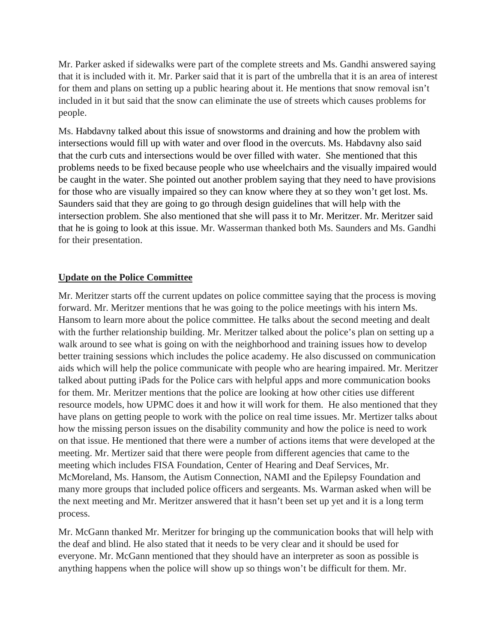Mr. Parker asked if sidewalks were part of the complete streets and Ms. Gandhi answered saying that it is included with it. Mr. Parker said that it is part of the umbrella that it is an area of interest for them and plans on setting up a public hearing about it. He mentions that snow removal isn't included in it but said that the snow can eliminate the use of streets which causes problems for people.

Ms. Habdavny talked about this issue of snowstorms and draining and how the problem with intersections would fill up with water and over flood in the overcuts. Ms. Habdavny also said that the curb cuts and intersections would be over filled with water. She mentioned that this problems needs to be fixed because people who use wheelchairs and the visually impaired would be caught in the water. She pointed out another problem saying that they need to have provisions for those who are visually impaired so they can know where they at so they won't get lost. Ms. Saunders said that they are going to go through design guidelines that will help with the intersection problem. She also mentioned that she will pass it to Mr. Meritzer. Mr. Meritzer said that he is going to look at this issue. Mr. Wasserman thanked both Ms. Saunders and Ms. Gandhi for their presentation.

# **Update on the Police Committee**

Mr. Meritzer starts off the current updates on police committee saying that the process is moving forward. Mr. Meritzer mentions that he was going to the police meetings with his intern Ms. Hansom to learn more about the police committee. He talks about the second meeting and dealt with the further relationship building. Mr. Meritzer talked about the police's plan on setting up a walk around to see what is going on with the neighborhood and training issues how to develop better training sessions which includes the police academy. He also discussed on communication aids which will help the police communicate with people who are hearing impaired. Mr. Meritzer talked about putting iPads for the Police cars with helpful apps and more communication books for them. Mr. Meritzer mentions that the police are looking at how other cities use different resource models, how UPMC does it and how it will work for them. He also mentioned that they have plans on getting people to work with the police on real time issues. Mr. Mertizer talks about how the missing person issues on the disability community and how the police is need to work on that issue. He mentioned that there were a number of actions items that were developed at the meeting. Mr. Mertizer said that there were people from different agencies that came to the meeting which includes FISA Foundation, Center of Hearing and Deaf Services, Mr. McMoreland, Ms. Hansom, the Autism Connection, NAMI and the Epilepsy Foundation and many more groups that included police officers and sergeants. Ms. Warman asked when will be the next meeting and Mr. Meritzer answered that it hasn't been set up yet and it is a long term process.

Mr. McGann thanked Mr. Meritzer for bringing up the communication books that will help with the deaf and blind. He also stated that it needs to be very clear and it should be used for everyone. Mr. McGann mentioned that they should have an interpreter as soon as possible is anything happens when the police will show up so things won't be difficult for them. Mr.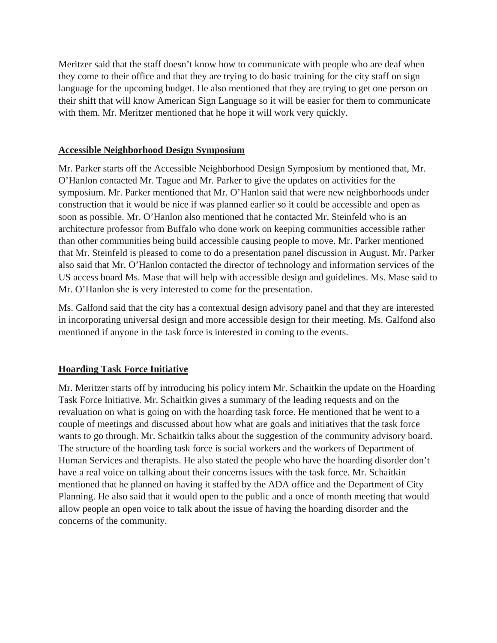Meritzer said that the staff doesn't know how to communicate with people who are deaf when they come to their office and that they are trying to do basic training for the city staff on sign language for the upcoming budget. He also mentioned that they are trying to get one person on their shift that will know American Sign Language so it will be easier for them to communicate with them. Mr. Meritzer mentioned that he hope it will work very quickly.

# **Accessible Neighborhood Design Symposium**

Mr. Parker starts off the Accessible Neighborhood Design Symposium by mentioned that, Mr. O'Hanlon contacted Mr. Tague and Mr. Parker to give the updates on activities for the symposium. Mr. Parker mentioned that Mr. O'Hanlon said that were new neighborhoods under construction that it would be nice if was planned earlier so it could be accessible and open as soon as possible. Mr. O'Hanlon also mentioned that he contacted Mr. Steinfeld who is an architecture professor from Buffalo who done work on keeping communities accessible rather than other communities being build accessible causing people to move. Mr. Parker mentioned that Mr. Steinfeld is pleased to come to do a presentation panel discussion in August. Mr. Parker also said that Mr. O'Hanlon contacted the director of technology and information services of the US access board Ms. Mase that will help with accessible design and guidelines. Ms. Mase said to Mr. O'Hanlon she is very interested to come for the presentation.

Ms. Galfond said that the city has a contextual design advisory panel and that they are interested in incorporating universal design and more accessible design for their meeting. Ms. Galfond also mentioned if anyone in the task force is interested in coming to the events.

# **Hoarding Task Force Initiative**

Mr. Meritzer starts off by introducing his policy intern Mr. Schaitkin the update on the Hoarding Task Force Initiative. Mr. Schaitkin gives a summary of the leading requests and on the revaluation on what is going on with the hoarding task force. He mentioned that he went to a couple of meetings and discussed about how what are goals and initiatives that the task force wants to go through. Mr. Schaitkin talks about the suggestion of the community advisory board. The structure of the hoarding task force is social workers and the workers of Department of Human Services and therapists. He also stated the people who have the hoarding disorder don't have a real voice on talking about their concerns issues with the task force. Mr. Schaitkin mentioned that he planned on having it staffed by the ADA office and the Department of City Planning. He also said that it would open to the public and a once of month meeting that would allow people an open voice to talk about the issue of having the hoarding disorder and the concerns of the community.